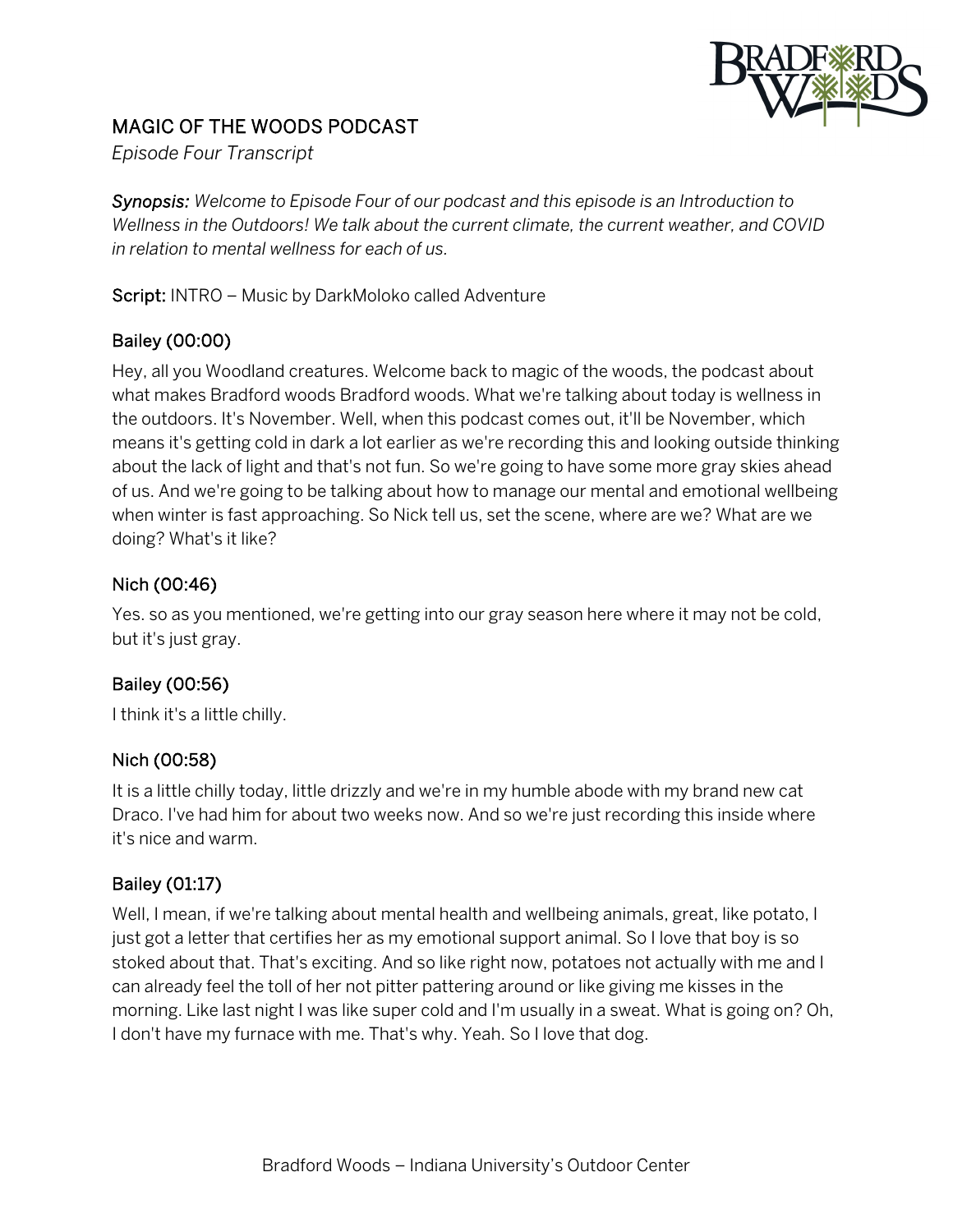

# MAGIC OF THE WOODS PODCAST

*Episode Four Transcript*

*Synopsis: Welcome to Episode Four of our podcast and this episode is an Introduction to Wellness in the Outdoors! We talk about the current climate, the current weather, and COVID in relation to mental wellness for each of us.*

Script: INTRO – Music by DarkMoloko called Adventure

### Bailey (00:00)

Hey, all you Woodland creatures. Welcome back to magic of the woods, the podcast about what makes Bradford woods Bradford woods. What we're talking about today is wellness in the outdoors. It's November. Well, when this podcast comes out, it'll be November, which means it's getting cold in dark a lot earlier as we're recording this and looking outside thinking about the lack of light and that's not fun. So we're going to have some more gray skies ahead of us. And we're going to be talking about how to manage our mental and emotional wellbeing when winter is fast approaching. So Nick tell us, set the scene, where are we? What are we doing? What's it like?

### Nich (00:46)

Yes. so as you mentioned, we're getting into our gray season here where it may not be cold, but it's just gray.

## Bailey (00:56)

I think it's a little chilly.

#### Nich (00:58)

It is a little chilly today, little drizzly and we're in my humble abode with my brand new cat Draco. I've had him for about two weeks now. And so we're just recording this inside where it's nice and warm.

#### Bailey (01:17)

Well, I mean, if we're talking about mental health and wellbeing animals, great, like potato, I just got a letter that certifies her as my emotional support animal. So I love that boy is so stoked about that. That's exciting. And so like right now, potatoes not actually with me and I can already feel the toll of her not pitter pattering around or like giving me kisses in the morning. Like last night I was like super cold and I'm usually in a sweat. What is going on? Oh, I don't have my furnace with me. That's why. Yeah. So I love that dog.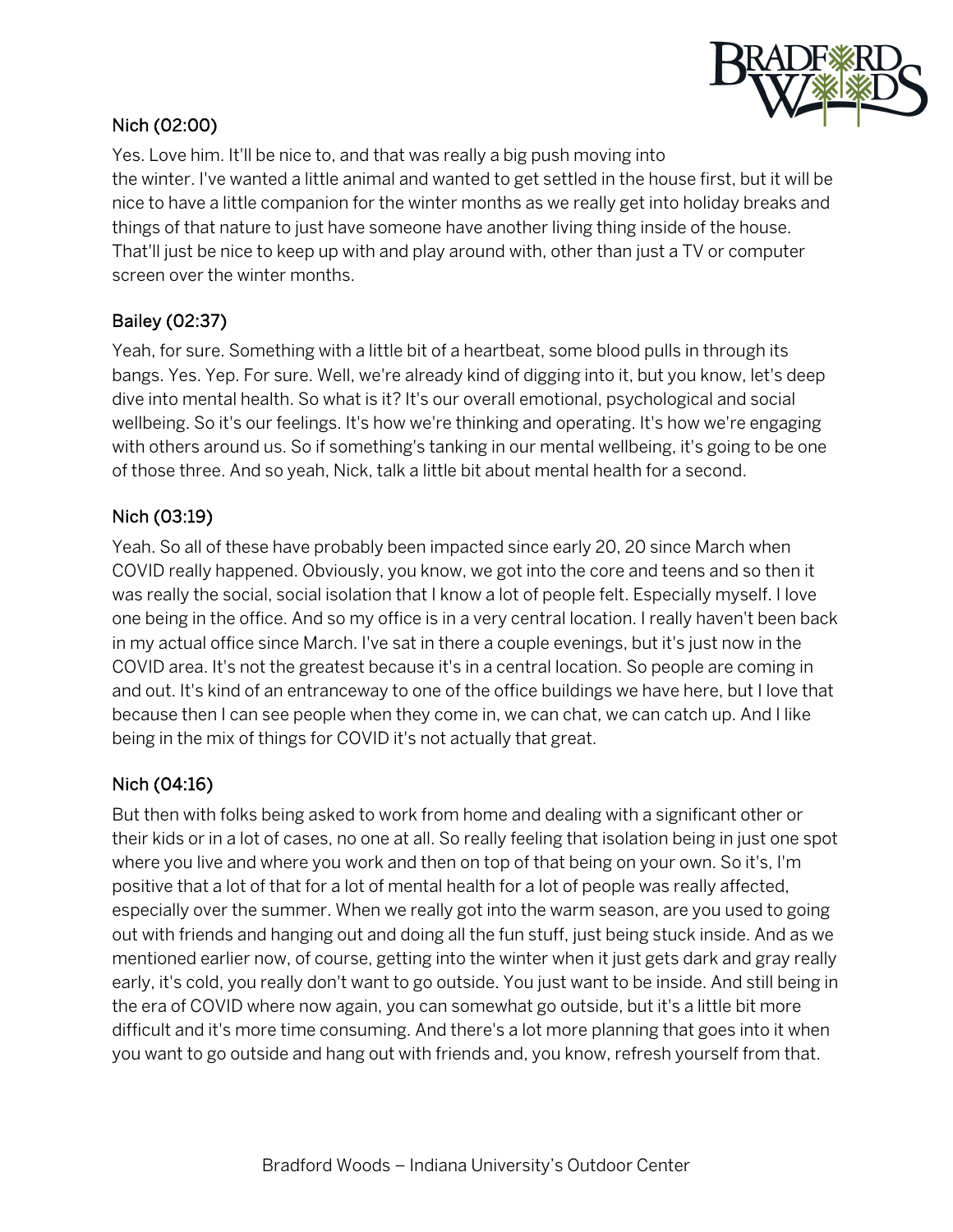

## Nich (02:00)

Yes. Love him. It'll be nice to, and that was really a big push moving into the winter. I've wanted a little animal and wanted to get settled in the house first, but it will be nice to have a little companion for the winter months as we really get into holiday breaks and things of that nature to just have someone have another living thing inside of the house. That'll just be nice to keep up with and play around with, other than just a TV or computer screen over the winter months.

### Bailey (02:37)

Yeah, for sure. Something with a little bit of a heartbeat, some blood pulls in through its bangs. Yes. Yep. For sure. Well, we're already kind of digging into it, but you know, let's deep dive into mental health. So what is it? It's our overall emotional, psychological and social wellbeing. So it's our feelings. It's how we're thinking and operating. It's how we're engaging with others around us. So if something's tanking in our mental wellbeing, it's going to be one of those three. And so yeah, Nick, talk a little bit about mental health for a second.

#### Nich (03:19)

Yeah. So all of these have probably been impacted since early 20, 20 since March when COVID really happened. Obviously, you know, we got into the core and teens and so then it was really the social, social isolation that I know a lot of people felt. Especially myself. I love one being in the office. And so my office is in a very central location. I really haven't been back in my actual office since March. I've sat in there a couple evenings, but it's just now in the COVID area. It's not the greatest because it's in a central location. So people are coming in and out. It's kind of an entranceway to one of the office buildings we have here, but I love that because then I can see people when they come in, we can chat, we can catch up. And I like being in the mix of things for COVID it's not actually that great.

#### Nich (04:16)

But then with folks being asked to work from home and dealing with a significant other or their kids or in a lot of cases, no one at all. So really feeling that isolation being in just one spot where you live and where you work and then on top of that being on your own. So it's, I'm positive that a lot of that for a lot of mental health for a lot of people was really affected, especially over the summer. When we really got into the warm season, are you used to going out with friends and hanging out and doing all the fun stuff, just being stuck inside. And as we mentioned earlier now, of course, getting into the winter when it just gets dark and gray really early, it's cold, you really don't want to go outside. You just want to be inside. And still being in the era of COVID where now again, you can somewhat go outside, but it's a little bit more difficult and it's more time consuming. And there's a lot more planning that goes into it when you want to go outside and hang out with friends and, you know, refresh yourself from that.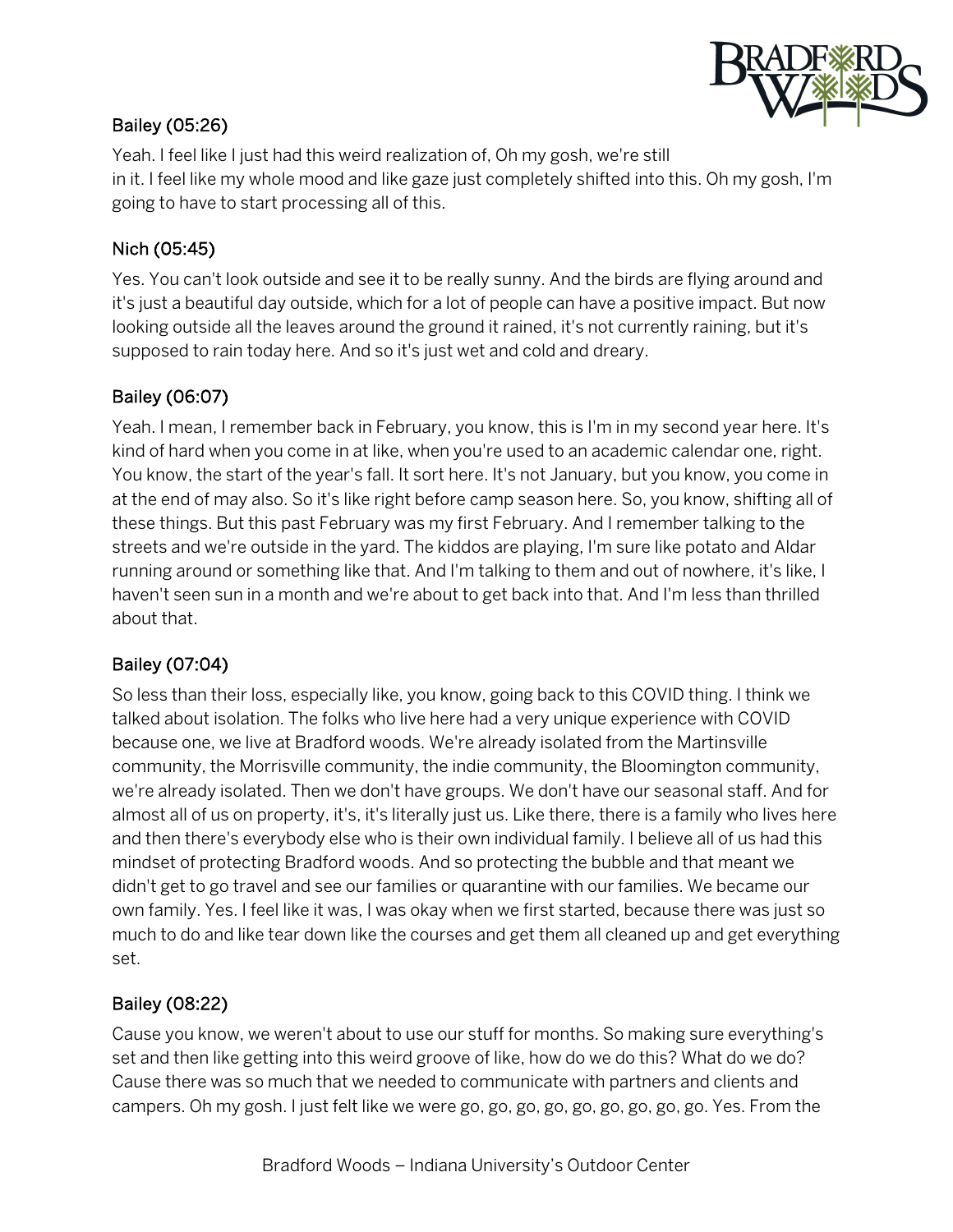

## Bailey (05:26)

Yeah. I feel like I just had this weird realization of, Oh my gosh, we're still in it. I feel like my whole mood and like gaze just completely shifted into this. Oh my gosh, I'm going to have to start processing all of this.

#### Nich (05:45)

Yes. You can't look outside and see it to be really sunny. And the birds are flying around and it's just a beautiful day outside, which for a lot of people can have a positive impact. But now looking outside all the leaves around the ground it rained, it's not currently raining, but it's supposed to rain today here. And so it's just wet and cold and dreary.

### Bailey (06:07)

Yeah. I mean, I remember back in February, you know, this is I'm in my second year here. It's kind of hard when you come in at like, when you're used to an academic calendar one, right. You know, the start of the year's fall. It sort here. It's not January, but you know, you come in at the end of may also. So it's like right before camp season here. So, you know, shifting all of these things. But this past February was my first February. And I remember talking to the streets and we're outside in the yard. The kiddos are playing, I'm sure like potato and Aldar running around or something like that. And I'm talking to them and out of nowhere, it's like, I haven't seen sun in a month and we're about to get back into that. And I'm less than thrilled about that.

#### Bailey (07:04)

So less than their loss, especially like, you know, going back to this COVID thing. I think we talked about isolation. The folks who live here had a very unique experience with COVID because one, we live at Bradford woods. We're already isolated from the Martinsville community, the Morrisville community, the indie community, the Bloomington community, we're already isolated. Then we don't have groups. We don't have our seasonal staff. And for almost all of us on property, it's, it's literally just us. Like there, there is a family who lives here and then there's everybody else who is their own individual family. I believe all of us had this mindset of protecting Bradford woods. And so protecting the bubble and that meant we didn't get to go travel and see our families or quarantine with our families. We became our own family. Yes. I feel like it was, I was okay when we first started, because there was just so much to do and like tear down like the courses and get them all cleaned up and get everything set.

#### Bailey (08:22)

Cause you know, we weren't about to use our stuff for months. So making sure everything's set and then like getting into this weird groove of like, how do we do this? What do we do? Cause there was so much that we needed to communicate with partners and clients and campers. Oh my gosh. I just felt like we were go, go, go, go, go, go, go, go, go. Yes. From the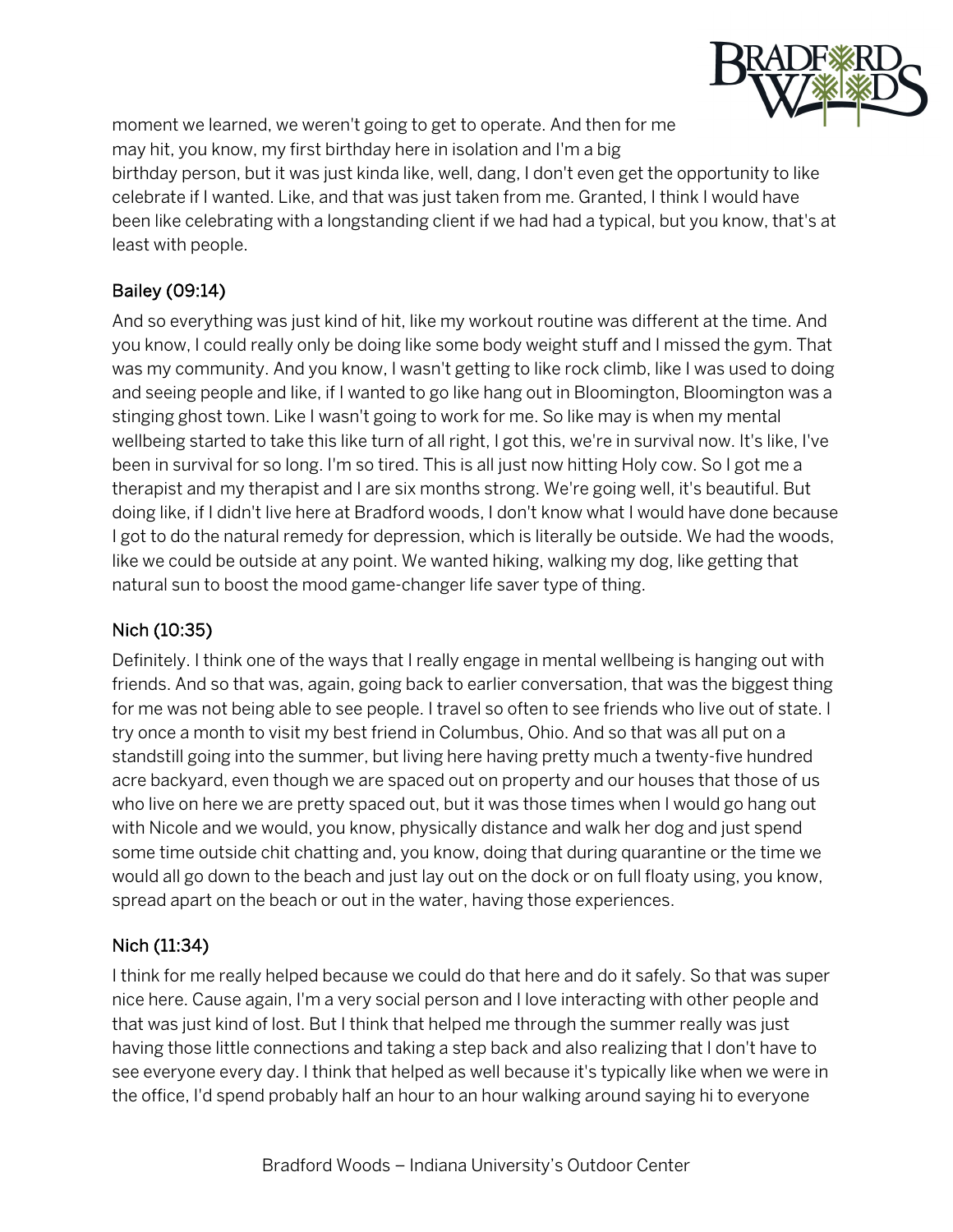

moment we learned, we weren't going to get to operate. And then for me may hit, you know, my first birthday here in isolation and I'm a big birthday person, but it was just kinda like, well, dang, I don't even get the opportunity to like celebrate if I wanted. Like, and that was just taken from me. Granted, I think I would have been like celebrating with a longstanding client if we had had a typical, but you know, that's at least with people.

# Bailey (09:14)

And so everything was just kind of hit, like my workout routine was different at the time. And you know, I could really only be doing like some body weight stuff and I missed the gym. That was my community. And you know, I wasn't getting to like rock climb, like I was used to doing and seeing people and like, if I wanted to go like hang out in Bloomington, Bloomington was a stinging ghost town. Like I wasn't going to work for me. So like may is when my mental wellbeing started to take this like turn of all right, I got this, we're in survival now. It's like, I've been in survival for so long. I'm so tired. This is all just now hitting Holy cow. So I got me a therapist and my therapist and I are six months strong. We're going well, it's beautiful. But doing like, if I didn't live here at Bradford woods, I don't know what I would have done because I got to do the natural remedy for depression, which is literally be outside. We had the woods, like we could be outside at any point. We wanted hiking, walking my dog, like getting that natural sun to boost the mood game-changer life saver type of thing.

## Nich (10:35)

Definitely. I think one of the ways that I really engage in mental wellbeing is hanging out with friends. And so that was, again, going back to earlier conversation, that was the biggest thing for me was not being able to see people. I travel so often to see friends who live out of state. I try once a month to visit my best friend in Columbus, Ohio. And so that was all put on a standstill going into the summer, but living here having pretty much a twenty-five hundred acre backyard, even though we are spaced out on property and our houses that those of us who live on here we are pretty spaced out, but it was those times when I would go hang out with Nicole and we would, you know, physically distance and walk her dog and just spend some time outside chit chatting and, you know, doing that during quarantine or the time we would all go down to the beach and just lay out on the dock or on full floaty using, you know, spread apart on the beach or out in the water, having those experiences.

## Nich (11:34)

I think for me really helped because we could do that here and do it safely. So that was super nice here. Cause again, I'm a very social person and I love interacting with other people and that was just kind of lost. But I think that helped me through the summer really was just having those little connections and taking a step back and also realizing that I don't have to see everyone every day. I think that helped as well because it's typically like when we were in the office, I'd spend probably half an hour to an hour walking around saying hi to everyone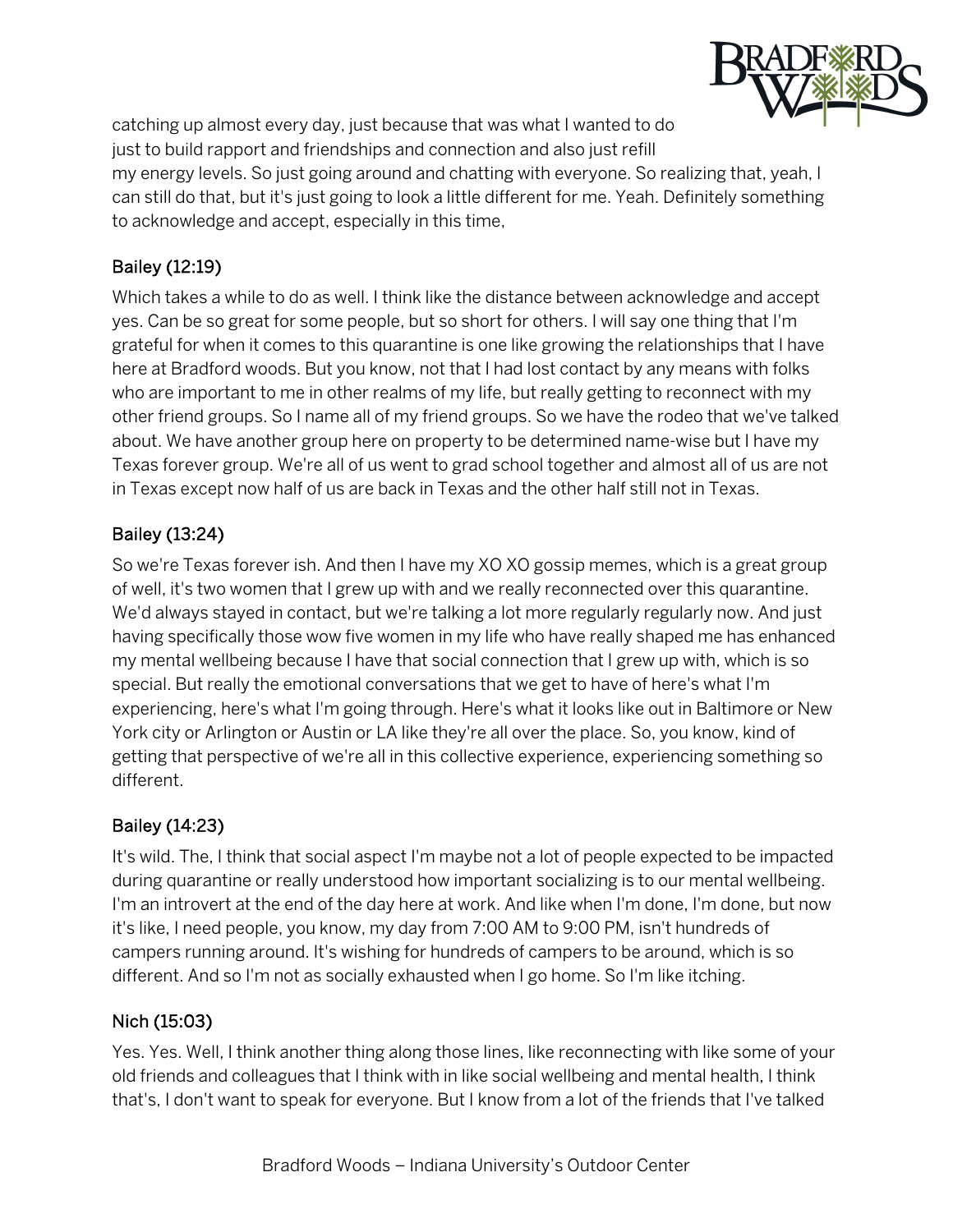

catching up almost every day, just because that was what I wanted to do just to build rapport and friendships and connection and also just refill my energy levels. So just going around and chatting with everyone. So realizing that, yeah, I can still do that, but it's just going to look a little different for me. Yeah. Definitely something to acknowledge and accept, especially in this time,

## Bailey (12:19)

Which takes a while to do as well. I think like the distance between acknowledge and accept yes. Can be so great for some people, but so short for others. I will say one thing that I'm grateful for when it comes to this quarantine is one like growing the relationships that I have here at Bradford woods. But you know, not that I had lost contact by any means with folks who are important to me in other realms of my life, but really getting to reconnect with my other friend groups. So I name all of my friend groups. So we have the rodeo that we've talked about. We have another group here on property to be determined name-wise but I have my Texas forever group. We're all of us went to grad school together and almost all of us are not in Texas except now half of us are back in Texas and the other half still not in Texas.

## Bailey (13:24)

So we're Texas forever ish. And then I have my XO XO gossip memes, which is a great group of well, it's two women that I grew up with and we really reconnected over this quarantine. We'd always stayed in contact, but we're talking a lot more regularly regularly now. And just having specifically those wow five women in my life who have really shaped me has enhanced my mental wellbeing because I have that social connection that I grew up with, which is so special. But really the emotional conversations that we get to have of here's what I'm experiencing, here's what I'm going through. Here's what it looks like out in Baltimore or New York city or Arlington or Austin or LA like they're all over the place. So, you know, kind of getting that perspective of we're all in this collective experience, experiencing something so different.

## Bailey (14:23)

It's wild. The, I think that social aspect I'm maybe not a lot of people expected to be impacted during quarantine or really understood how important socializing is to our mental wellbeing. I'm an introvert at the end of the day here at work. And like when I'm done, I'm done, but now it's like, I need people, you know, my day from 7:00 AM to 9:00 PM, isn't hundreds of campers running around. It's wishing for hundreds of campers to be around, which is so different. And so I'm not as socially exhausted when I go home. So I'm like itching.

## Nich (15:03)

Yes. Yes. Well, I think another thing along those lines, like reconnecting with like some of your old friends and colleagues that I think with in like social wellbeing and mental health, I think that's, I don't want to speak for everyone. But I know from a lot of the friends that I've talked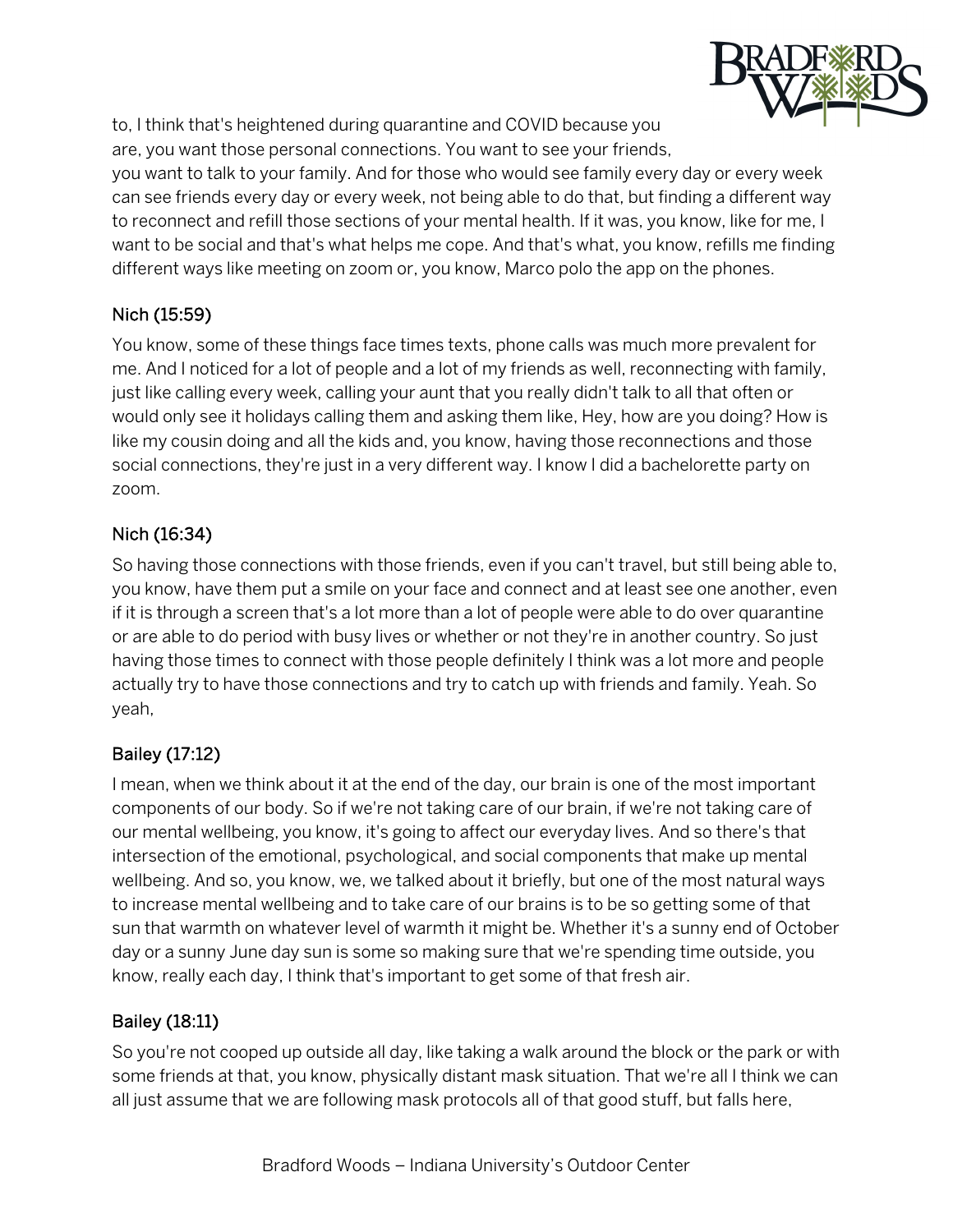

to, I think that's heightened during quarantine and COVID because you are, you want those personal connections. You want to see your friends,

you want to talk to your family. And for those who would see family every day or every week can see friends every day or every week, not being able to do that, but finding a different way to reconnect and refill those sections of your mental health. If it was, you know, like for me, I want to be social and that's what helps me cope. And that's what, you know, refills me finding different ways like meeting on zoom or, you know, Marco polo the app on the phones.

## Nich (15:59)

You know, some of these things face times texts, phone calls was much more prevalent for me. And I noticed for a lot of people and a lot of my friends as well, reconnecting with family, just like calling every week, calling your aunt that you really didn't talk to all that often or would only see it holidays calling them and asking them like, Hey, how are you doing? How is like my cousin doing and all the kids and, you know, having those reconnections and those social connections, they're just in a very different way. I know I did a bachelorette party on zoom.

## Nich (16:34)

So having those connections with those friends, even if you can't travel, but still being able to, you know, have them put a smile on your face and connect and at least see one another, even if it is through a screen that's a lot more than a lot of people were able to do over quarantine or are able to do period with busy lives or whether or not they're in another country. So just having those times to connect with those people definitely I think was a lot more and people actually try to have those connections and try to catch up with friends and family. Yeah. So yeah,

# Bailey (17:12)

I mean, when we think about it at the end of the day, our brain is one of the most important components of our body. So if we're not taking care of our brain, if we're not taking care of our mental wellbeing, you know, it's going to affect our everyday lives. And so there's that intersection of the emotional, psychological, and social components that make up mental wellbeing. And so, you know, we, we talked about it briefly, but one of the most natural ways to increase mental wellbeing and to take care of our brains is to be so getting some of that sun that warmth on whatever level of warmth it might be. Whether it's a sunny end of October day or a sunny June day sun is some so making sure that we're spending time outside, you know, really each day, I think that's important to get some of that fresh air.

## Bailey (18:11)

So you're not cooped up outside all day, like taking a walk around the block or the park or with some friends at that, you know, physically distant mask situation. That we're all I think we can all just assume that we are following mask protocols all of that good stuff, but falls here,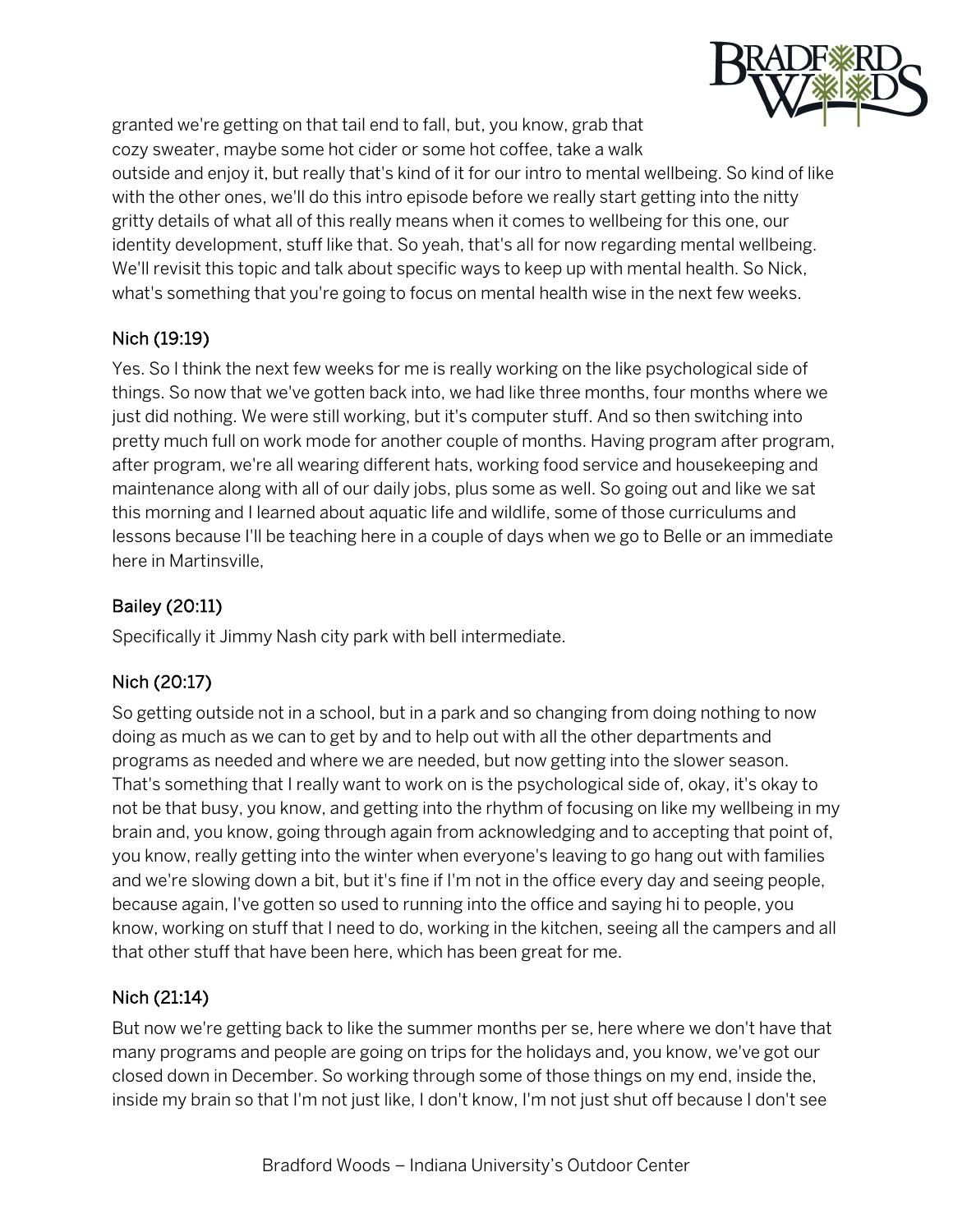

granted we're getting on that tail end to fall, but, you know, grab that cozy sweater, maybe some hot cider or some hot coffee, take a walk

outside and enjoy it, but really that's kind of it for our intro to mental wellbeing. So kind of like with the other ones, we'll do this intro episode before we really start getting into the nitty gritty details of what all of this really means when it comes to wellbeing for this one, our identity development, stuff like that. So yeah, that's all for now regarding mental wellbeing. We'll revisit this topic and talk about specific ways to keep up with mental health. So Nick, what's something that you're going to focus on mental health wise in the next few weeks.

## Nich (19:19)

Yes. So I think the next few weeks for me is really working on the like psychological side of things. So now that we've gotten back into, we had like three months, four months where we just did nothing. We were still working, but it's computer stuff. And so then switching into pretty much full on work mode for another couple of months. Having program after program, after program, we're all wearing different hats, working food service and housekeeping and maintenance along with all of our daily jobs, plus some as well. So going out and like we sat this morning and I learned about aquatic life and wildlife, some of those curriculums and lessons because I'll be teaching here in a couple of days when we go to Belle or an immediate here in Martinsville,

# Bailey (20:11)

Specifically it Jimmy Nash city park with bell intermediate.

# Nich (20:17)

So getting outside not in a school, but in a park and so changing from doing nothing to now doing as much as we can to get by and to help out with all the other departments and programs as needed and where we are needed, but now getting into the slower season. That's something that I really want to work on is the psychological side of, okay, it's okay to not be that busy, you know, and getting into the rhythm of focusing on like my wellbeing in my brain and, you know, going through again from acknowledging and to accepting that point of, you know, really getting into the winter when everyone's leaving to go hang out with families and we're slowing down a bit, but it's fine if I'm not in the office every day and seeing people, because again, I've gotten so used to running into the office and saying hi to people, you know, working on stuff that I need to do, working in the kitchen, seeing all the campers and all that other stuff that have been here, which has been great for me.

# Nich (21:14)

But now we're getting back to like the summer months per se, here where we don't have that many programs and people are going on trips for the holidays and, you know, we've got our closed down in December. So working through some of those things on my end, inside the, inside my brain so that I'm not just like, I don't know, I'm not just shut off because I don't see